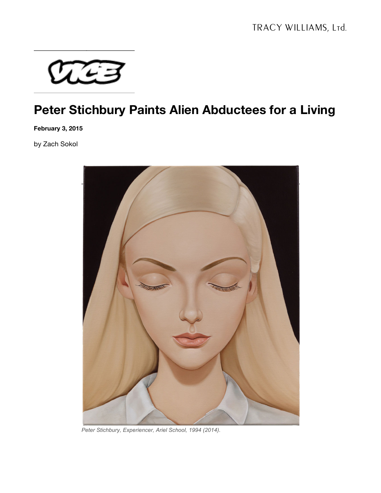

## **Peter Stichbury Paints Alien Abductees for a Living**

**February 3, 2015**

by Zach Sokol



*Peter Stichbury, Experiencer, Ariel School, 1994 (2014).*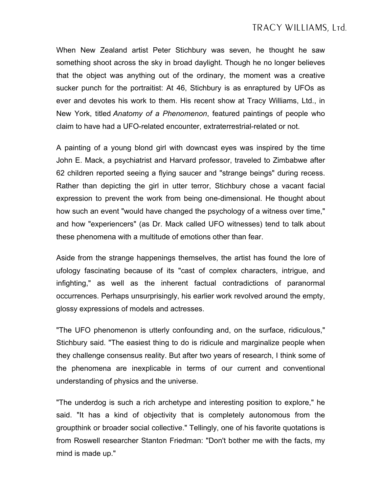When New Zealand artist Peter Stichbury was seven, he thought he saw something shoot across the sky in broad daylight. Though he no longer believes that the object was anything out of the ordinary, the moment was a creative sucker punch for the portraitist: At 46, Stichbury is as enraptured by UFOs as ever and devotes his work to them. His recent show at Tracy Williams, Ltd., in New York, titled *Anatomy of a Phenomenon*, featured paintings of people who claim to have had a UFO-related encounter, extraterrestrial-related or not.

A painting of a young blond girl with downcast eyes was inspired by the time John E. Mack, a psychiatrist and Harvard professor, traveled to Zimbabwe after 62 children reported seeing a flying saucer and "strange beings" during recess. Rather than depicting the girl in utter terror, Stichbury chose a vacant facial expression to prevent the work from being one-dimensional. He thought about how such an event "would have changed the psychology of a witness over time," and how "experiencers" (as Dr. Mack called UFO witnesses) tend to talk about these phenomena with a multitude of emotions other than fear.

Aside from the strange happenings themselves, the artist has found the lore of ufology fascinating because of its "cast of complex characters, intrigue, and infighting," as well as the inherent factual contradictions of paranormal occurrences. Perhaps unsurprisingly, his earlier work revolved around the empty, glossy expressions of models and actresses.

"The UFO phenomenon is utterly confounding and, on the surface, ridiculous," Stichbury said. "The easiest thing to do is ridicule and marginalize people when they challenge consensus reality. But after two years of research, I think some of the phenomena are inexplicable in terms of our current and conventional understanding of physics and the universe.

"The underdog is such a rich archetype and interesting position to explore," he said. "It has a kind of objectivity that is completely autonomous from the groupthink or broader social collective." Tellingly, one of his favorite quotations is from Roswell researcher Stanton Friedman: "Don't bother me with the facts, my mind is made up."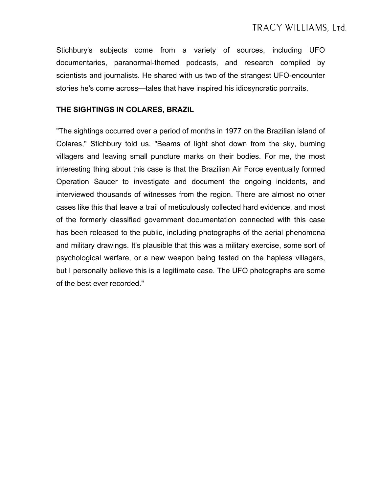Stichbury's subjects come from a variety of sources, including UFO documentaries, paranormal-themed podcasts, and research compiled by scientists and journalists. He shared with us two of the strangest UFO-encounter stories he's come across—tales that have inspired his idiosyncratic portraits.

## **THE SIGHTINGS IN COLARES, BRAZIL**

"The sightings occurred over a period of months in 1977 on the Brazilian island of Colares," Stichbury told us. "Beams of light shot down from the sky, burning villagers and leaving small puncture marks on their bodies. For me, the most interesting thing about this case is that the Brazilian Air Force eventually formed Operation Saucer to investigate and document the ongoing incidents, and interviewed thousands of witnesses from the region. There are almost no other cases like this that leave a trail of meticulously collected hard evidence, and most of the formerly classified government documentation connected with this case has been released to the public, including photographs of the aerial phenomena and military drawings. It's plausible that this was a military exercise, some sort of psychological warfare, or a new weapon being tested on the hapless villagers, but I personally believe this is a legitimate case. The UFO photographs are some of the best ever recorded."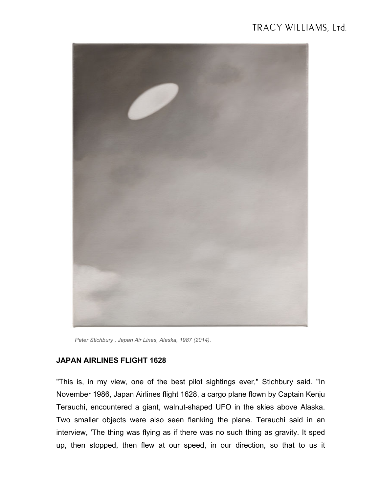## TRACY WILLIAMS, Ltd.



*Peter Stichbury , Japan Air Lines, Alaska, 1987 (2014).*

## **JAPAN AIRLINES FLIGHT 1628**

"This is, in my view, one of the best pilot sightings ever," Stichbury said. "In November 1986, Japan Airlines flight 1628, a cargo plane flown by Captain Kenju Terauchi, encountered a giant, walnut-shaped UFO in the skies above Alaska. Two smaller objects were also seen flanking the plane. Terauchi said in an interview, 'The thing was flying as if there was no such thing as gravity. It sped up, then stopped, then flew at our speed, in our direction, so that to us it